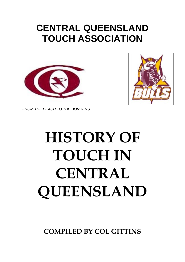## **CENTRAL QUEENSLAND TOUCH ASSOCIATION**





*FROM THE BEACH TO THE BORDERS*

# **HISTORY OF TOUCH IN CENTRAL QUEENSLAND**

**COMPILED BY COL GITTINS**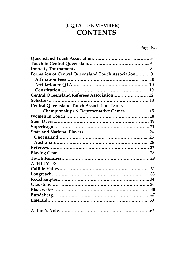## **(CQTA LIFE MEMBER) CONTENTS**

Page No.

| Formation of Central Queensland Touch Association 9 |  |
|-----------------------------------------------------|--|
|                                                     |  |
|                                                     |  |
|                                                     |  |
| Central Queensland Referees Association 12          |  |
|                                                     |  |
| <b>Central Queensland Touch Association Teams</b>   |  |
| Championships & Representative Games 15             |  |
|                                                     |  |
|                                                     |  |
|                                                     |  |
|                                                     |  |
|                                                     |  |
|                                                     |  |
|                                                     |  |
|                                                     |  |
|                                                     |  |
| <b>AFFILIATES</b>                                   |  |
|                                                     |  |
|                                                     |  |
|                                                     |  |
|                                                     |  |
|                                                     |  |
|                                                     |  |
|                                                     |  |
|                                                     |  |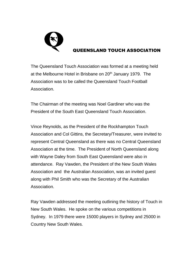

#### QUEENSLAND TOUCH ASSOCIATION

The Queensland Touch Association was formed at a meeting held at the Melbourne Hotel in Brisbane on 20<sup>th</sup> January 1979. The Association was to be called the Queensland Touch Football Association.

The Chairman of the meeting was Noel Gardiner who was the President of the South East Queensland Touch Association.

Vince Reynolds, as the President of the Rockhampton Touch Association and Col Gittins, the Secretary/Treasurer, were invited to represent Central Queensland as there was no Central Queensland Association at the time. The President of North Queensland along with Wayne Daley from South East Queensland were also in attendance. Ray Vawden, the President of the New South Wales Association and the Australian Association, was an invited guest along with Phil Smith who was the Secretary of the Australian Association.

Ray Vawden addressed the meeting outlining the history of Touch in New South Wales. He spoke on the various competitions in Sydney. In 1979 there were 15000 players in Sydney and 25000 in Country New South Wales.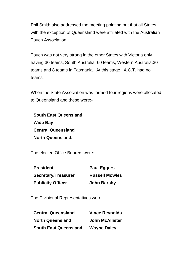Phil Smith also addressed the meeting pointing out that all States with the exception of Queensland were affiliated with the Australian Touch Association.

Touch was not very strong in the other States with Victoria only having 30 teams, South Australia, 60 teams, Western Australia,30 teams and 8 teams in Tasmania. At this stage, A.C.T. had no teams.

When the State Association was formed four regions were allocated to Queensland and these were:-

| <b>South East Queensland</b> |
|------------------------------|
| Wide Bay                     |
| <b>Central Queensland</b>    |
| <b>North Queensland.</b>     |

The elected Office Bearers were:-

| <b>President</b>           | <b>Paul Eggers</b>    |
|----------------------------|-----------------------|
| <b>Secretary/Treasurer</b> | <b>Russell Mowles</b> |
| <b>Publicity Officer</b>   | <b>John Barsby</b>    |

The Divisional Representatives were

| <b>Central Queensland</b>    | <b>Vince Reynolds</b>  |
|------------------------------|------------------------|
| <b>North Queensland</b>      | <b>John McAllister</b> |
| <b>South East Queensland</b> | <b>Wayne Daley</b>     |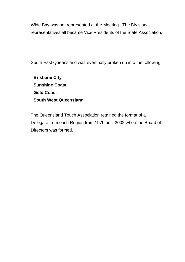Wide Bay was not represented at the Meeting. The Divisional representatives all became Vice Presidents of the State Association.

South East Queensland was eventually broken up into the following

**Brisbane City Sunshine Coast Gold Coast South West Queensland**

The Queensland Touch Association retained the format of a Delegate from each Region from 1979 until 2002 when the Board of Directors was formed.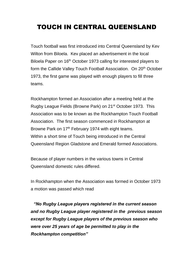## TOUCH IN CENTRAL QUEENSLAND

Touch football was first introduced into Central Queensland by Kev Wilton from Biloela. Kev placed an advertisement in the local Biloela Paper on 16<sup>th</sup> October 1973 calling for interested players to form the Callide Valley Touch Football Association. On 20<sup>th</sup> October 1973, the first game was played with enough players to fill three teams.

Rockhampton formed an Association after a meeting held at the Rugby League Fields (Browne Park) on 21st October 1973. This Association was to be known as the Rockhampton Touch Football Association. The first season commenced in Rockhampton at Browne Park on 17<sup>th</sup> February 1974 with eight teams. Within a short time of Touch being introduced in the Central Queensland Region Gladstone and Emerald formed Associations.

Because of player numbers in the various towns in Central Queensland domestic rules differed.

In Rockhampton when the Association was formed in October 1973 a motion was passed which read

*"No Rugby League players registered in the current season and no Rugby League player registered in the previous season except for Rugby League players of the previous season who were over 25 years of age be permitted to play in the Rockhampton competition"*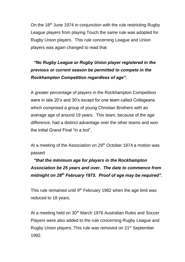On the 18<sup>th</sup> June 1974 in conjunction with the rule restricting Rugby League players from playing Touch the same rule was adopted for Rugby Union players. This rule concerning League and Union players was again changed to read that

## *"No Rugby League or Rugby Union player registered in the previous or current season be permitted to compete in the Rockhampton Competition regardless of age".*

A greater percentage of players in the Rockhampton Competition were in late 20's and 30's except for one team called Collegeans which comprised a group of young Christian Brothers with an average age of around 19 years. This team, because of the age difference, had a distinct advantage over the other teams and won the initial Grand Final "in a trot".

At a meeting of the Association on 29<sup>th</sup> October 1974 a motion was passed

## *"that the minimum age for players in the Rockhampton Association be 25 years and over. The date to commence from midnight on 28th February 1975. Proof of age may be required".*

This rule remained until  $9<sup>th</sup>$  February 1982 when the age limit was reduced to 18 years.

At a meeting held on 30<sup>th</sup> March 1976 Australian Rules and Soccer Players were also added to the rule concerning Rugby League and Rugby Union players. This rule was removed on 21st September 1982.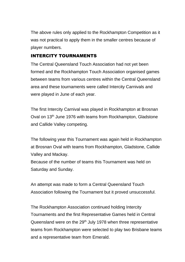The above rules only applied to the Rockhampton Competition as it was not practical to apply them in the smaller centres because of player numbers.

#### INTERCITY TOURNAMENTS

The Central Queensland Touch Association had not yet been formed and the Rockhampton Touch Association organised games between teams from various centres within the Central Queensland area and these tournaments were called Intercity Carnivals and were played in June of each year.

The first Intercity Carnival was played in Rockhampton at Brosnan Oval on 13<sup>th</sup> June 1976 with teams from Rockhampton, Gladstone and Callide Valley competing.

The following year this Tournament was again held in Rockhampton at Brosnan Oval with teams from Rockhampton, Gladstone, Callide Valley and Mackay. Because of the number of teams this Tournament was held on Saturday and Sunday.

An attempt was made to form a Central Queensland Touch Association following the Tournament but it proved unsuccessful.

The Rockhampton Association continued holding Intercity Tournaments and the first Representative Games held in Central Queensland were on the  $29<sup>th</sup>$  July 1978 when three representative teams from Rockhampton were selected to play two Brisbane teams and a representative team from Emerald.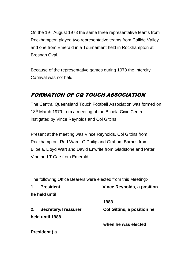On the 19<sup>th</sup> August 1978 the same three representative teams from Rockhampton played two representative teams from Callide Valley and one from Emerald in a Tournament held in Rockhampton at Brosnan Oval.

Because of the representative games during 1978 the Intercity Carnival was not held.

## FORMATION OF CQ TOUCH ASSOCIATION

The Central Queensland Touch Football Association was formed on 18<sup>th</sup> March 1979 from a meeting at the Biloela Civic Centre instigated by Vince Reynolds and Col Gittins.

Present at the meeting was Vince Reynolds, Col Gittins from Rockhampton, Rod Ward, G Philip and Graham Barnes from Biloela, Lloyd Wart and David Enwrite from Gladstone and Peter Vine and T Cae from Emerald.

The following Office Bearers were elected from this Meeting:-

| 1. | <b>President</b>           | <b>Vince Reynolds, a position</b> |
|----|----------------------------|-----------------------------------|
|    | he held until              |                                   |
|    |                            | 1983                              |
| 2. | <b>Secretary/Treasurer</b> | <b>Col Gittins, a position he</b> |
|    | held until 1988            |                                   |
|    |                            | when he was elected               |
|    | President (a               |                                   |